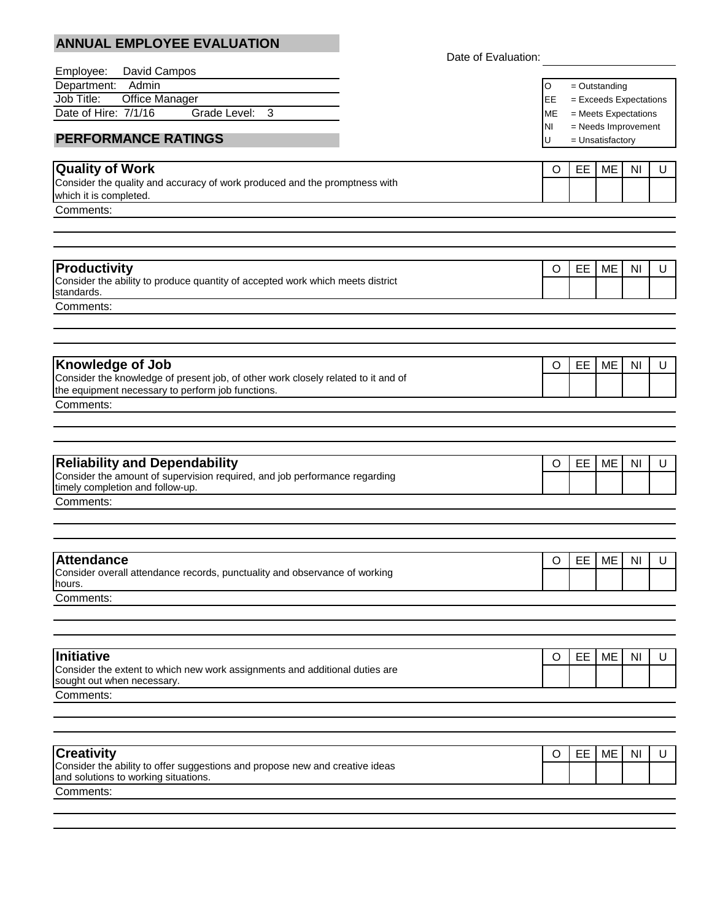| <b>ANNUAL EMPLOYEE EVALUATION</b>                                                                                    |                     |           |                                           |                      |           |   |
|----------------------------------------------------------------------------------------------------------------------|---------------------|-----------|-------------------------------------------|----------------------|-----------|---|
|                                                                                                                      | Date of Evaluation: |           |                                           |                      |           |   |
| David Campos<br>Employee:                                                                                            |                     | O         |                                           |                      |           |   |
| Job Title:<br>Office Manager                                                                                         | Department: Admin   |           | $=$ Outstanding<br>= Exceeds Expectations |                      |           |   |
| Date of Hire: 7/1/16<br>Grade Level:<br>3                                                                            |                     | EE<br>MЕ  |                                           | = Meets Expectations |           |   |
|                                                                                                                      |                     | <b>NI</b> |                                           | = Needs Improvement  |           |   |
| <b>PERFORMANCE RATINGS</b>                                                                                           |                     | U         |                                           | = Unsatisfactory     |           |   |
|                                                                                                                      |                     |           |                                           |                      |           |   |
| <b>Quality of Work</b><br>Consider the quality and accuracy of work produced and the promptness with                 |                     | $\circ$   | EE                                        | ME                   | ΝI        | U |
| which it is completed.                                                                                               |                     |           |                                           |                      |           |   |
| Comments:                                                                                                            |                     |           |                                           |                      |           |   |
|                                                                                                                      |                     |           |                                           |                      |           |   |
|                                                                                                                      |                     |           |                                           |                      |           |   |
| <b>Productivity</b>                                                                                                  |                     | O         | EE.                                       | ME                   | ΝI        | U |
| Consider the ability to produce quantity of accepted work which meets district<br>standards.                         |                     |           |                                           |                      |           |   |
| Comments:                                                                                                            |                     |           |                                           |                      |           |   |
|                                                                                                                      |                     |           |                                           |                      |           |   |
|                                                                                                                      |                     |           |                                           |                      |           |   |
| <b>Knowledge of Job</b>                                                                                              |                     | O         | EE                                        | ME                   | ΝI        | U |
| Consider the knowledge of present job, of other work closely related to it and of                                    |                     |           |                                           |                      |           |   |
| the equipment necessary to perform job functions.                                                                    |                     |           |                                           |                      |           |   |
| Comments:                                                                                                            |                     |           |                                           |                      |           |   |
|                                                                                                                      |                     |           |                                           |                      |           |   |
|                                                                                                                      |                     |           |                                           |                      |           |   |
| <b>Reliability and Dependability</b>                                                                                 |                     | O         | EE.                                       | ME                   | ΝI        | U |
| Consider the amount of supervision required, and job performance regarding<br>timely completion and follow-up.       |                     |           |                                           |                      |           |   |
| Comments:                                                                                                            |                     |           |                                           |                      |           |   |
|                                                                                                                      |                     |           |                                           |                      |           |   |
|                                                                                                                      |                     |           |                                           |                      |           |   |
| <b>Attendance</b>                                                                                                    |                     | O         |                                           | EE   ME              | NI        | U |
| Consider overall attendance records, punctuality and observance of working                                           |                     |           |                                           |                      |           |   |
| hours.<br>Comments:                                                                                                  |                     |           |                                           |                      |           |   |
|                                                                                                                      |                     |           |                                           |                      |           |   |
|                                                                                                                      |                     |           |                                           |                      |           |   |
| Initiative                                                                                                           |                     | O         | EE                                        | ME                   | <b>NI</b> | U |
| Consider the extent to which new work assignments and additional duties are                                          |                     |           |                                           |                      |           |   |
| sought out when necessary.                                                                                           |                     |           |                                           |                      |           |   |
| Comments:                                                                                                            |                     |           |                                           |                      |           |   |
|                                                                                                                      |                     |           |                                           |                      |           |   |
|                                                                                                                      |                     |           |                                           |                      |           |   |
| <b>Creativity</b>                                                                                                    |                     | O         | EE.                                       | ME                   | ΝI        | U |
| Consider the ability to offer suggestions and propose new and creative ideas<br>and solutions to working situations. |                     |           |                                           |                      |           |   |
| Comments:                                                                                                            |                     |           |                                           |                      |           |   |
|                                                                                                                      |                     |           |                                           |                      |           |   |
|                                                                                                                      |                     |           |                                           |                      |           |   |